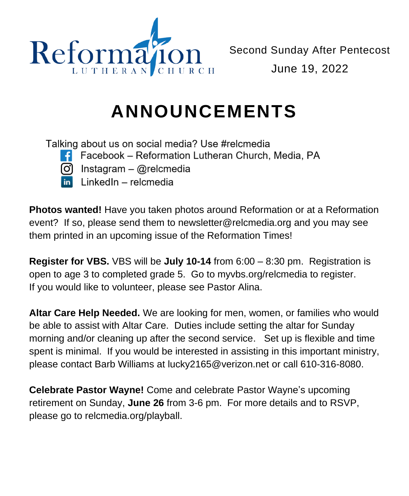

## **ANNOUNCEMENTS**

Talking about us on social media? Use #relcmedia

- $\uparrow$  Facebook Reformation Lutheran Church, Media, PA
- $\Omega$  Instagram @relcmedia
- LinkedIn relcmedia

**Photos wanted!** Have you taken photos around Reformation or at a Reformation event? If so, please send them to newsletter@relcmedia.org and you may see them printed in an upcoming issue of the Reformation Times!

**Register for VBS.** VBS will be **July 10-14** from 6:00 – 8:30 pm. Registration is open to age 3 to completed grade 5. Go to myvbs.org/relcmedia to register. If you would like to volunteer, please see Pastor Alina.

**Altar Care Help Needed.** We are looking for men, women, or families who would be able to assist with Altar Care. Duties include setting the altar for Sunday morning and/or cleaning up after the second service. Set up is flexible and time spent is minimal. If you would be interested in assisting in this important ministry, please contact Barb Williams at lucky2165@verizon.net or call 610-316-8080.

**Celebrate Pastor Wayne!** Come and celebrate Pastor Wayne's upcoming retirement on Sunday, **June 26** from 3-6 pm. For more details and to RSVP, please go to relcmedia.org/playball.